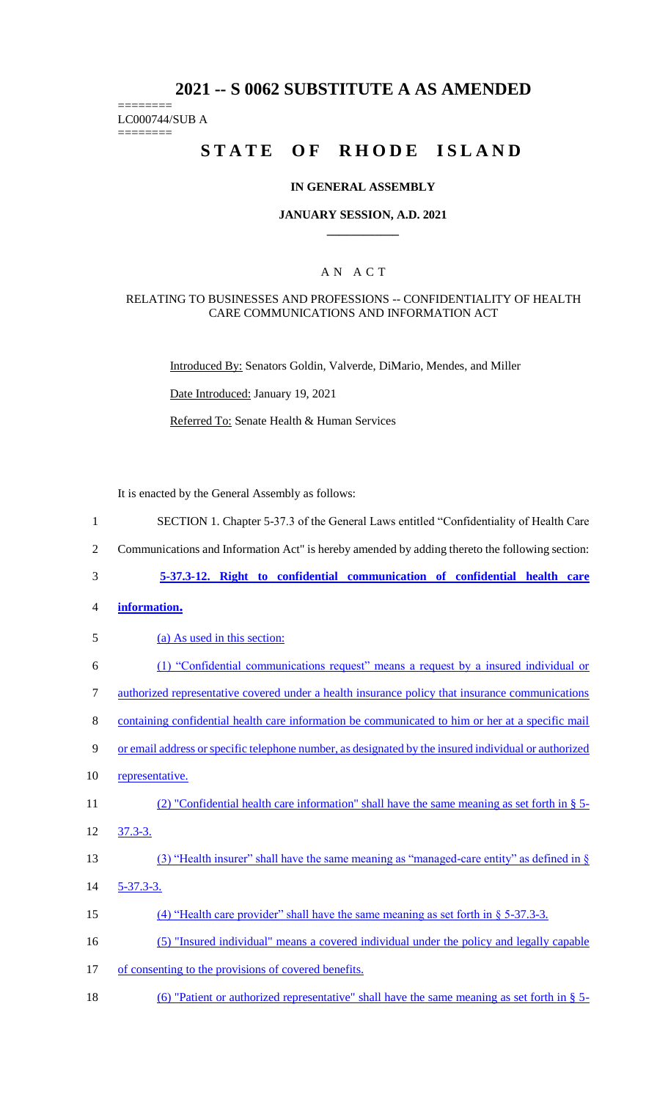## **2021 -- S 0062 SUBSTITUTE A AS AMENDED**

======== LC000744/SUB A

========

# **STATE OF RHODE ISLAND**

## **IN GENERAL ASSEMBLY**

#### **JANUARY SESSION, A.D. 2021 \_\_\_\_\_\_\_\_\_\_\_\_**

## A N A C T

#### RELATING TO BUSINESSES AND PROFESSIONS -- CONFIDENTIALITY OF HEALTH CARE COMMUNICATIONS AND INFORMATION ACT

Introduced By: Senators Goldin, Valverde, DiMario, Mendes, and Miller

Date Introduced: January 19, 2021

Referred To: Senate Health & Human Services

It is enacted by the General Assembly as follows:

| $\mathbf{1}$   | SECTION 1. Chapter 5-37.3 of the General Laws entitled "Confidentiality of Health Care               |
|----------------|------------------------------------------------------------------------------------------------------|
| $\sqrt{2}$     | Communications and Information Act" is hereby amended by adding thereto the following section:       |
| 3              | 5-37.3-12. Right to confidential communication of confidential health care                           |
| $\overline{4}$ | information.                                                                                         |
| 5              | (a) As used in this section:                                                                         |
| 6              | (1) "Confidential communications request" means a request by a insured individual or                 |
| $\overline{7}$ | authorized representative covered under a health insurance policy that insurance communications      |
| 8              | containing confidential health care information be communicated to him or her at a specific mail     |
| $\mathbf{9}$   | or email address or specific telephone number, as designated by the insured individual or authorized |
| 10             | representative.                                                                                      |
| 11             | (2) "Confidential health care information" shall have the same meaning as set forth in $\S$ 5-       |
| 12             | $37.3 - 3.$                                                                                          |
| 13             | (3) "Health insurer" shall have the same meaning as "managed-care entity" as defined in $\S$         |
| 14             | $5 - 37.3 - 3.$                                                                                      |
| 15             | $(4)$ "Health care provider" shall have the same meaning as set forth in § 5-37.3-3.                 |
| 16             | (5) "Insured individual" means a covered individual under the policy and legally capable             |
| 17             | of consenting to the provisions of covered benefits.                                                 |
| 18             | (6) "Patient or authorized representative" shall have the same meaning as set forth in $\S$ 5-       |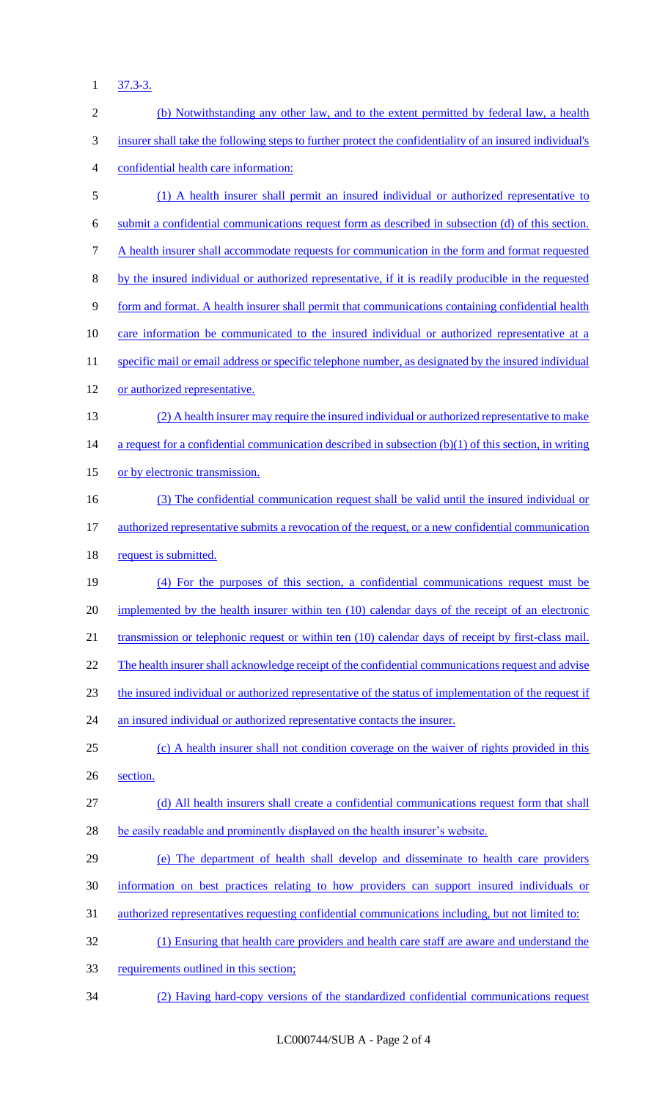1 37.3-3.

| $\sqrt{2}$ | (b) Notwithstanding any other law, and to the extent permitted by federal law, a health                  |
|------------|----------------------------------------------------------------------------------------------------------|
| 3          | insurer shall take the following steps to further protect the confidentiality of an insured individual's |
| 4          | confidential health care information:                                                                    |
| 5          | (1) A health insurer shall permit an insured individual or authorized representative to                  |
| 6          | submit a confidential communications request form as described in subsection (d) of this section.        |
| 7          | A health insurer shall accommodate requests for communication in the form and format requested           |
| $8\,$      | by the insured individual or authorized representative, if it is readily producible in the requested     |
| 9          | form and format. A health insurer shall permit that communications containing confidential health        |
| 10         | care information be communicated to the insured individual or authorized representative at a             |
| 11         | specific mail or email address or specific telephone number, as designated by the insured individual     |
| 12         | or authorized representative.                                                                            |
| 13         | (2) A health insurer may require the insured individual or authorized representative to make             |
| 14         | a request for a confidential communication described in subsection $(b)(1)$ of this section, in writing  |
| 15         | or by electronic transmission.                                                                           |
| 16         | (3) The confidential communication request shall be valid until the insured individual or                |
| 17         | authorized representative submits a revocation of the request, or a new confidential communication       |
| 18         | request is submitted.                                                                                    |
| 19         | (4) For the purposes of this section, a confidential communications request must be                      |
| 20         | implemented by the health insurer within ten (10) calendar days of the receipt of an electronic          |
| 21         | transmission or telephonic request or within ten (10) calendar days of receipt by first-class mail.      |
| 22         | The health insurer shall acknowledge receipt of the confidential communications request and advise       |
| 23         | the insured individual or authorized representative of the status of implementation of the request if    |
| 24         | an insured individual or authorized representative contacts the insurer.                                 |
| 25         | (c) A health insurer shall not condition coverage on the waiver of rights provided in this               |
| 26         | section.                                                                                                 |
| 27         | (d) All health insurers shall create a confidential communications request form that shall               |
| 28         | be easily readable and prominently displayed on the health insurer's website.                            |
| 29         | (e) The department of health shall develop and disseminate to health care providers                      |
| 30         | information on best practices relating to how providers can support insured individuals or               |
| 31         | authorized representatives requesting confidential communications including, but not limited to:         |
| 32         | (1) Ensuring that health care providers and health care staff are aware and understand the               |
| 33         | requirements outlined in this section;                                                                   |
| 34         | (2) Having hard-copy versions of the standardized confidential communications request                    |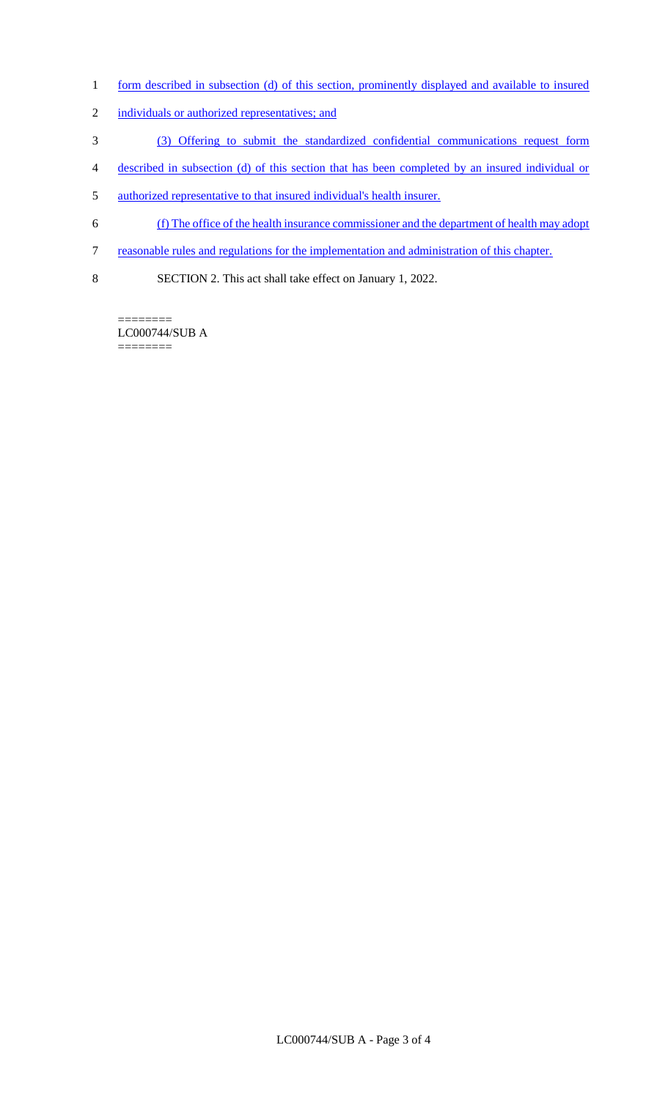- 1 form described in subsection (d) of this section, prominently displayed and available to insured
- 2 individuals or authorized representatives; and
- 3 (3) Offering to submit the standardized confidential communications request form
- 4 described in subsection (d) of this section that has been completed by an insured individual or
- 5 authorized representative to that insured individual's health insurer.
- 6 (f) The office of the health insurance commissioner and the department of health may adopt
- 7 reasonable rules and regulations for the implementation and administration of this chapter.
- 8 SECTION 2. This act shall take effect on January 1, 2022.

======== LC000744/SUB A ========